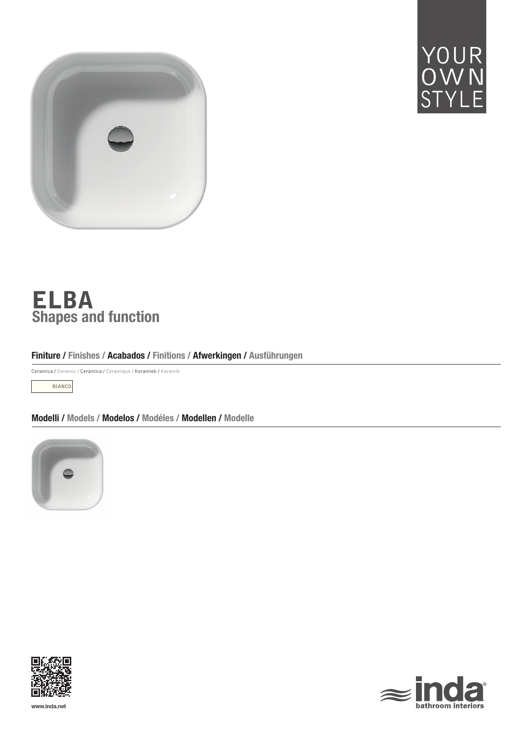



# Shapes and function ELBA

# Finiture / Finishes / Acabados / Finitions / Afwerkingen / Ausführungen

Ceramica / Ceramic / Cerámica / Ceramique / Keramiek / Keramik

BIANCO

Modelli / Models / Modelos / Modéles / Modellen / Modelle







www.inda.net